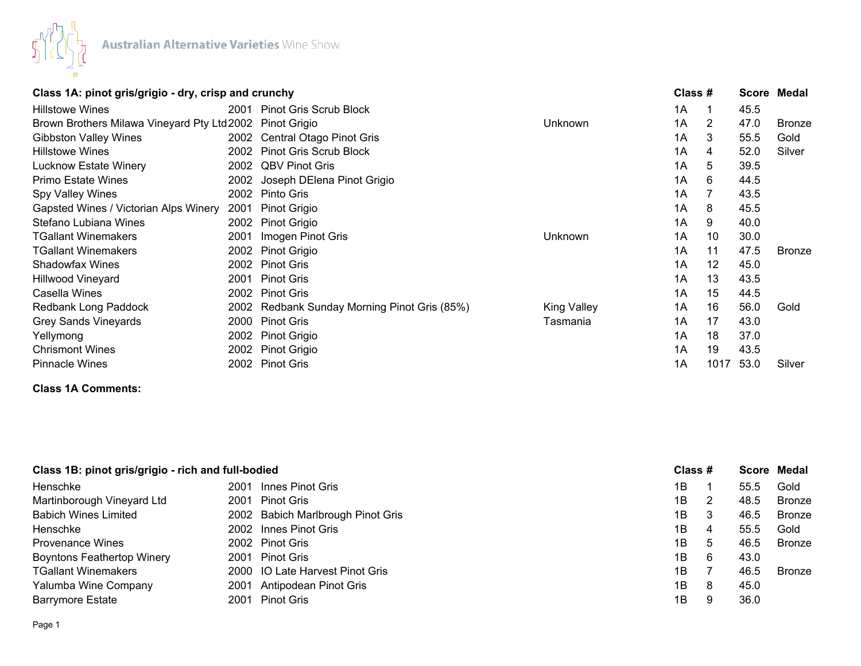

| Class 1A: pinot gris/grigio - dry, crisp and crunchy |      |                                              |                    | Class # |      |      | Score Medal   |
|------------------------------------------------------|------|----------------------------------------------|--------------------|---------|------|------|---------------|
| <b>Hillstowe Wines</b>                               | 2001 | <b>Pinot Gris Scrub Block</b>                |                    | 1A      |      | 45.5 |               |
| Brown Brothers Milawa Vineyard Pty Ltd 2002          |      | Pinot Grigio                                 | Unknown            | 1A      | 2    | 47.0 | <b>Bronze</b> |
| <b>Gibbston Valley Wines</b>                         |      | 2002 Central Otago Pinot Gris                |                    | 1A      | 3    | 55.5 | Gold          |
| <b>Hillstowe Wines</b>                               | 2002 | <b>Pinot Gris Scrub Block</b>                |                    | 1A      | 4    | 52.0 | Silver        |
| <b>Lucknow Estate Winery</b>                         |      | 2002 QBV Pinot Gris                          |                    | 1A      | 5    | 39.5 |               |
| <b>Primo Estate Wines</b>                            |      | 2002 Joseph DElena Pinot Grigio              |                    | 1A      | 6    | 44.5 |               |
| Spy Valley Wines                                     | 2002 | Pinto Gris                                   |                    | 1A      |      | 43.5 |               |
| Gapsted Wines / Victorian Alps Winery                | 2001 | Pinot Grigio                                 |                    | 1A      | 8    | 45.5 |               |
| Stefano Lubiana Wines                                | 2002 | Pinot Grigio                                 |                    | 1A      | 9    | 40.0 |               |
| <b>TGallant Winemakers</b>                           | 2001 | Imogen Pinot Gris                            | Unknown            | 1A      | 10   | 30.0 |               |
| <b>TGallant Winemakers</b>                           | 2002 | Pinot Grigio                                 |                    | 1A      | 11   | 47.5 | <b>Bronze</b> |
| <b>Shadowfax Wines</b>                               |      | 2002 Pinot Gris                              |                    | 1A      | 12   | 45.0 |               |
| <b>Hillwood Vineyard</b>                             | 2001 | <b>Pinot Gris</b>                            |                    | 1A      | 13   | 43.5 |               |
| Casella Wines                                        | 2002 | <b>Pinot Gris</b>                            |                    | 1A      | 15   | 44.5 |               |
| Redbank Long Paddock                                 |      | 2002 Redbank Sunday Morning Pinot Gris (85%) | <b>King Valley</b> | 1A      | 16   | 56.0 | Gold          |
| <b>Grey Sands Vineyards</b>                          | 2000 | <b>Pinot Gris</b>                            | Tasmania           | 1A      | 17   | 43.0 |               |
| Yellymong                                            | 2002 | Pinot Grigio                                 |                    | 1A      | 18   | 37.0 |               |
| <b>Chrismont Wines</b>                               |      | 2002 Pinot Grigio                            |                    | 1A      | 19   | 43.5 |               |
| <b>Pinnacle Wines</b>                                |      | 2002 Pinot Gris                              |                    | 1Α      | 1017 | 53.0 | Silver        |

# **Class 1A Comments:**

| Class 1B: pinot gris/grigio - rich and full-bodied |      |                                   | Class # |   |      | Score Medal   |
|----------------------------------------------------|------|-----------------------------------|---------|---|------|---------------|
| Henschke                                           | 2001 | Innes Pinot Gris                  | 1B      |   | 55.5 | Gold          |
| Martinborough Vineyard Ltd                         |      | 2001 Pinot Gris                   | 1B      | 2 | 48.5 | Bronze        |
| <b>Babich Wines Limited</b>                        |      | 2002 Babich Marlbrough Pinot Gris | 1B      | 3 | 46.5 | Bronze        |
| Henschke                                           |      | 2002 Innes Pinot Gris             | 1B      | 4 | 55.5 | Gold          |
| <b>Provenance Wines</b>                            |      | 2002 Pinot Gris                   | 1B      | 5 | 46.5 | Bronze        |
| <b>Boyntons Feathertop Winery</b>                  |      | 2001 Pinot Gris                   | 1B      | 6 | 43.0 |               |
| <b>TGallant Winemakers</b>                         |      | 2000 IO Late Harvest Pinot Gris   | 1B      |   | 46.5 | <b>Bronze</b> |
| Yalumba Wine Company                               |      | 2001 Antipodean Pinot Gris        | 1B      | 8 | 45.0 |               |
| <b>Barrymore Estate</b>                            |      | 2001 Pinot Gris                   | 1B      | 9 | 36.0 |               |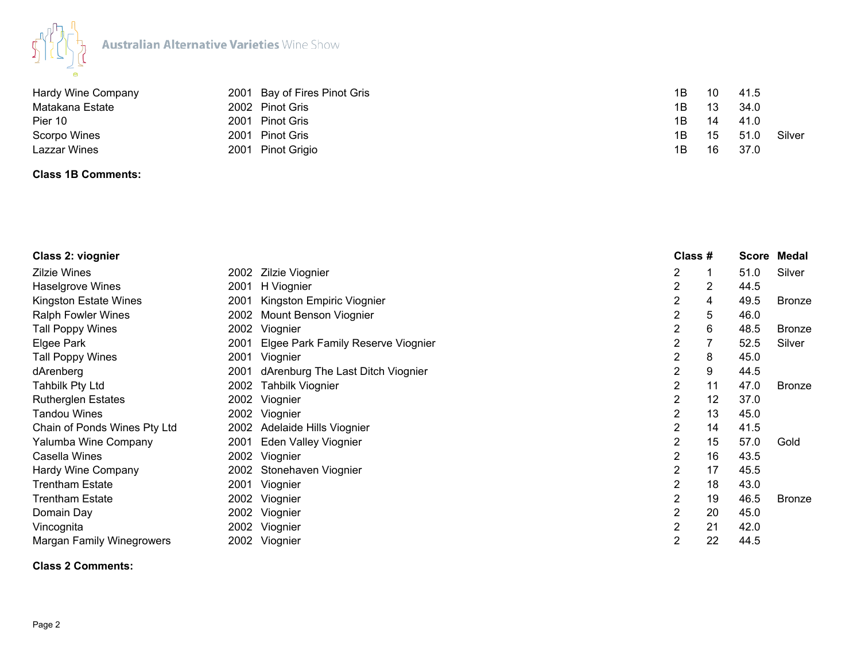

| Hardy Wine Company |      | 2001 Bay of Fires Pinot Gris | 1B | 10 | 41.5 |        |
|--------------------|------|------------------------------|----|----|------|--------|
| Matakana Estate    |      | 2002 Pinot Gris              | 1B | 13 | 34.0 |        |
| Pier 10            | 2001 | Pinot Gris                   | 1Β | 14 | 41.0 |        |
| Scorpo Wines       | 2001 | <b>Pinot Gris</b>            | 1Β | 15 | 51.0 | Silver |
| Lazzar Wines       |      | 2001 Pinot Grigio            | 1B | 16 | 37.0 |        |

## **Class 1B Comments:**

| Class 2: viognier            |      |                                    |   | Class # |    |      | Score Medal   |
|------------------------------|------|------------------------------------|---|---------|----|------|---------------|
| Zilzie Wines                 |      | 2002 Zilzie Viognier               | 2 |         |    | 51.0 | Silver        |
| Haselgrove Wines             | 2001 | H Viognier                         | 2 | 2       |    | 44.5 |               |
| Kingston Estate Wines        | 2001 | Kingston Empiric Viognier          | 2 | 4       |    | 49.5 | <b>Bronze</b> |
| Ralph Fowler Wines           | 2002 | Mount Benson Viognier              | 2 | 5       |    | 46.0 |               |
| <b>Tall Poppy Wines</b>      |      | 2002 Viognier                      | 2 | 6       |    | 48.5 | <b>Bronze</b> |
| Elgee Park                   | 2001 | Elgee Park Family Reserve Viognier | 2 |         |    | 52.5 | Silver        |
| <b>Tall Poppy Wines</b>      | 2001 | Viognier                           | 2 | 8       |    | 45.0 |               |
| dArenberg                    | 2001 | dArenburg The Last Ditch Viognier  | 2 | 9       |    | 44.5 |               |
| Tahbilk Pty Ltd              | 2002 | <b>Tahbilk Viognier</b>            | 2 |         | 11 | 47.0 | <b>Bronze</b> |
| <b>Rutherglen Estates</b>    |      | 2002 Viognier                      | 2 |         | 12 | 37.0 |               |
| Tandou Wines                 |      | 2002 Viognier                      | 2 |         | 13 | 45.0 |               |
| Chain of Ponds Wines Pty Ltd |      | 2002 Adelaide Hills Viognier       | 2 |         | 14 | 41.5 |               |
| Yalumba Wine Company         | 2001 | <b>Eden Valley Viognier</b>        | 2 |         | 15 | 57.0 | Gold          |
| Casella Wines                |      | 2002 Viognier                      | 2 |         | 16 | 43.5 |               |
| <b>Hardy Wine Company</b>    |      | 2002 Stonehaven Viognier           | 2 |         | 17 | 45.5 |               |
| Trentham Estate              |      | 2001 Viognier                      | 2 |         | 18 | 43.0 |               |
| Trentham Estate              |      | 2002 Viognier                      | 2 |         | 19 | 46.5 | <b>Bronze</b> |
| Domain Day                   |      | 2002 Viognier                      | 2 |         | 20 | 45.0 |               |
| Vincognita                   |      | 2002 Viognier                      | 2 |         | 21 | 42.0 |               |
| Margan Family Winegrowers    |      | 2002 Viognier                      | 2 |         | 22 | 44.5 |               |
|                              |      |                                    |   |         |    |      |               |

#### **Class 2 Comments:**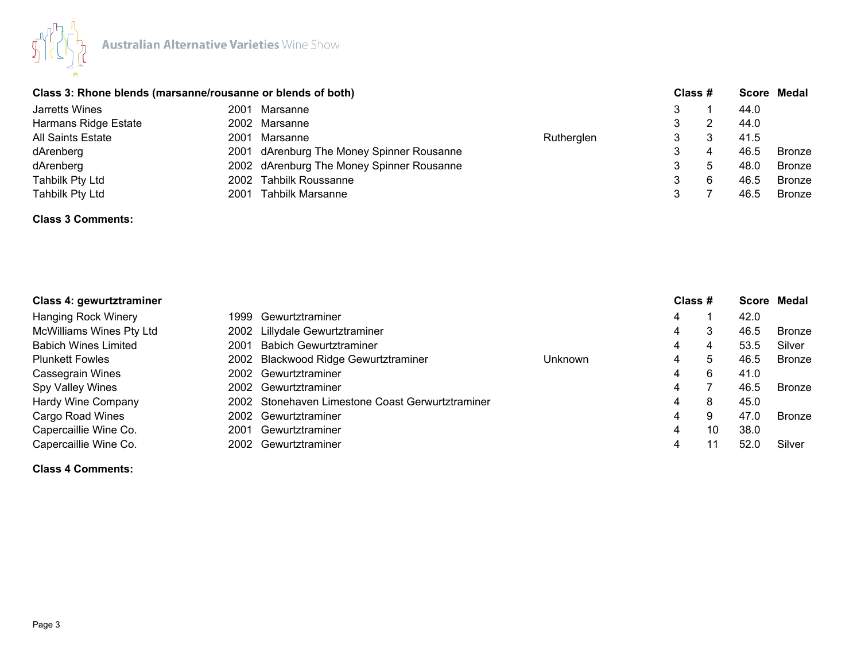

|                          | Class 3: Rhone blends (marsanne/rousanne or blends of both) |                                           |            | Class # |   | Score Medal |               |
|--------------------------|-------------------------------------------------------------|-------------------------------------------|------------|---------|---|-------------|---------------|
| Jarretts Wines           | 2001                                                        | Marsanne                                  |            | 3       |   | 44.0        |               |
| Harmans Ridge Estate     |                                                             | 2002 Marsanne                             |            |         |   | 44.0        |               |
| <b>All Saints Estate</b> | 2001                                                        | Marsanne                                  | Rutherglen |         |   | 41.5        |               |
| dArenberg                |                                                             | 2001 dArenburg The Money Spinner Rousanne |            |         | 4 | 46.5        | <b>Bronze</b> |
| dArenberg                |                                                             | 2002 dArenburg The Money Spinner Rousanne |            |         |   | 48.0        | <b>Bronze</b> |
| Tahbilk Pty Ltd          |                                                             | 2002 Tahbilk Roussanne                    |            | 3       |   | 46.5        | <b>Bronze</b> |
| Tahbilk Pty Ltd          | 2001                                                        | Tahbilk Marsanne                          |            |         |   | 46.5        | <b>Bronze</b> |
|                          |                                                             |                                           |            |         |   |             |               |

# **Class 3 Comments:**

| Class 4: gewurtztraminer    |       |                                                  |         |   | Class # |      | Score Medal   |
|-----------------------------|-------|--------------------------------------------------|---------|---|---------|------|---------------|
| <b>Hanging Rock Winery</b>  | 1999. | Gewurtztraminer                                  |         | 4 |         | 42.0 |               |
| McWilliams Wines Pty Ltd    |       | 2002 Lillydale Gewurtztraminer                   |         | 4 |         | 46.5 | Bronze        |
| <b>Babich Wines Limited</b> | 2001  | <b>Babich Gewurtztraminer</b>                    |         | 4 | 4       | 53.5 | Silver        |
| <b>Plunkett Fowles</b>      |       | 2002 Blackwood Ridge Gewurtztraminer             | Unknown | 4 | 5       | 46.5 | Bronze        |
| <b>Cassegrain Wines</b>     |       | 2002 Gewurtztraminer                             |         | 4 | 6       | 41.0 |               |
| Spy Valley Wines            |       | 2002 Gewurtztraminer                             |         | 4 |         | 46.5 | Bronze        |
| Hardy Wine Company          |       | 2002 Stonehaven Limestone Coast Gerwurtztraminer |         | 4 | 8       | 45.0 |               |
| Cargo Road Wines            |       | 2002 Gewurtztraminer                             |         | 4 | 9       | 47.0 | <b>Bronze</b> |
| Capercaillie Wine Co.       | 2001  | Gewurtztraminer                                  |         | 4 | 10      | 38.0 |               |
| Capercaillie Wine Co.       |       | 2002 Gewurtztraminer                             |         | 4 |         | 52.0 | Silver        |

### **Class 4 Comments:**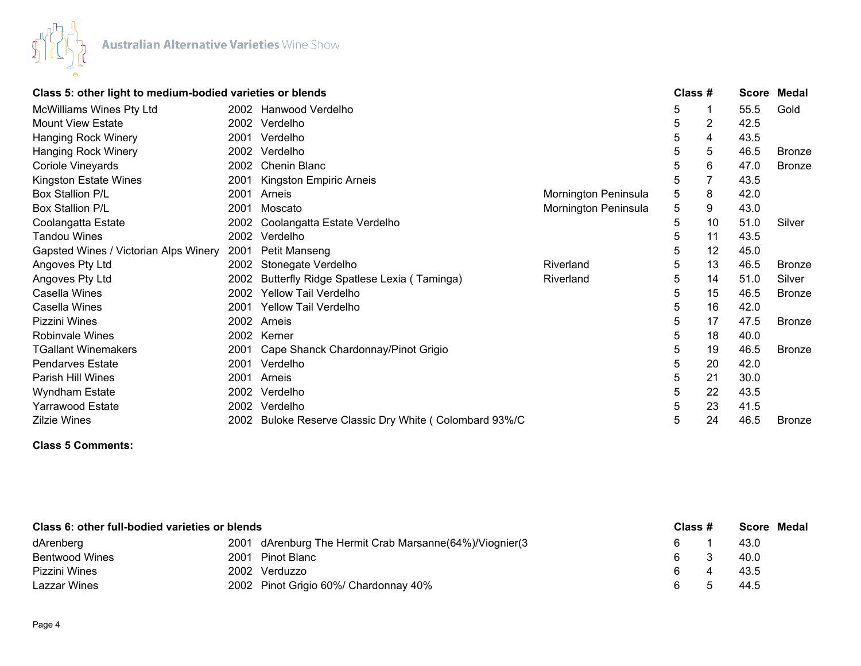

|                                       | Class 5: other light to medium-bodied varieties or blends |                                                   |                      | Class # |    | <b>Score</b> | Medal         |
|---------------------------------------|-----------------------------------------------------------|---------------------------------------------------|----------------------|---------|----|--------------|---------------|
| McWilliams Wines Pty Ltd              |                                                           | 2002 Hanwood Verdelho                             |                      | 5       |    | 55.5         | Gold          |
| Mount View Estate                     | 2002                                                      | Verdelho                                          |                      | 5       | 2  | 42.5         |               |
| <b>Hanging Rock Winery</b>            | 2001                                                      | Verdelho                                          |                      | 5       | 4  | 43.5         |               |
| Hanging Rock Winery                   | 2002                                                      | Verdelho                                          |                      | 5       | 5  | 46.5         | <b>Bronze</b> |
| Coriole Vineyards                     | 2002                                                      | <b>Chenin Blanc</b>                               |                      | 5       | 6  | 47.0         | <b>Bronze</b> |
| Kingston Estate Wines                 | 2001                                                      | Kingston Empiric Arneis                           |                      | 5       |    | 43.5         |               |
| <b>Box Stallion P/L</b>               | 2001                                                      | Arneis                                            | Mornington Peninsula | 5       | 8  | 42.0         |               |
| Box Stallion P/L                      | 2001                                                      | Moscato                                           | Mornington Peninsula | 5       | 9  | 43.0         |               |
| Coolangatta Estate                    | 2002                                                      | Coolangatta Estate Verdelho                       |                      | 5       | 10 | 51.0         | Silver        |
| <b>Tandou Wines</b>                   | 2002                                                      | Verdelho                                          |                      | 5       | 11 | 43.5         |               |
| Gapsted Wines / Victorian Alps Winery | 2001                                                      | Petit Manseng                                     |                      | 5       | 12 | 45.0         |               |
| Angoves Pty Ltd                       | 2002                                                      | Stonegate Verdelho                                | Riverland            | 5       | 13 | 46.5         | <b>Bronze</b> |
| Angoves Pty Ltd                       | 2002                                                      | Butterfly Ridge Spatlese Lexia (Taminga)          | Riverland            | 5       | 14 | 51.0         | Silver        |
| Casella Wines                         | 2002                                                      | <b>Yellow Tail Verdelho</b>                       |                      | 5       | 15 | 46.5         | <b>Bronze</b> |
| Casella Wines                         | 2001                                                      | <b>Yellow Tail Verdelho</b>                       |                      | 5       | 16 | 42.0         |               |
| Pizzini Wines                         | 2002                                                      | Arneis                                            |                      | 5       | 17 | 47.5         | <b>Bronze</b> |
| <b>Robinvale Wines</b>                | 2002                                                      | Kerner                                            |                      | 5       | 18 | 40.0         |               |
| <b>TGallant Winemakers</b>            | 2001                                                      | Cape Shanck Chardonnay/Pinot Grigio               |                      | 5       | 19 | 46.5         | <b>Bronze</b> |
| <b>Pendarves Estate</b>               | 2001                                                      | Verdelho                                          |                      | 5       | 20 | 42.0         |               |
| Parish Hill Wines                     | 2001                                                      | Arneis                                            |                      | 5       | 21 | 30.0         |               |
| Wyndham Estate                        | 2002                                                      | Verdelho                                          |                      | 5       | 22 | 43.5         |               |
| <b>Yarrawood Estate</b>               | 2002                                                      | Verdelho                                          |                      | 5       | 23 | 41.5         |               |
| Zilzie Wines                          | 2002                                                      | Buloke Reserve Classic Dry White (Colombard 93%/C |                      | 5       | 24 | 46.5         | <b>Bronze</b> |

# **Class 5 Comments:**

| Class 6: other full-bodied varieties or blends |      |                                                         | Class # | <b>Score Medal</b> |
|------------------------------------------------|------|---------------------------------------------------------|---------|--------------------|
| dArenberg                                      |      | 2001 dArenburg The Hermit Crab Marsanne(64%)/Viognier(3 |         | 43.0               |
| Bentwood Wines                                 | 2001 | Pinot Blanc                                             | 6.      | 40.0               |
| Pizzini Wines                                  |      | 2002 Verduzzo                                           |         | 43.5               |
| Lazzar Wines                                   |      | 2002 Pinot Grigio 60%/ Chardonnay 40%                   |         | 44.5               |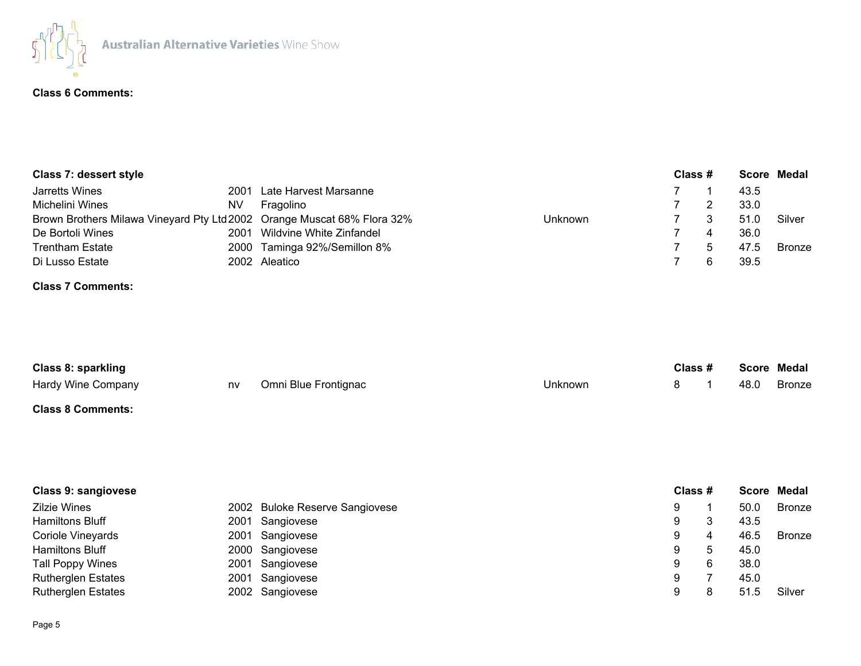

## **Class 6 Comments:**

| Class 7: dessert style                                                  |      |                              |         | Class # |      | Score Medal   |
|-------------------------------------------------------------------------|------|------------------------------|---------|---------|------|---------------|
| Jarretts Wines                                                          | 2001 | Late Harvest Marsanne        |         |         | 43.5 |               |
| Michelini Wines                                                         | NV   | Fragolino                    |         |         | 33.0 |               |
| Brown Brothers Milawa Vineyard Pty Ltd 2002 Orange Muscat 68% Flora 32% |      |                              | Unknown |         | 51.0 | Silver        |
| De Bortoli Wines                                                        | 2001 | Wildvine White Zinfandel     |         |         | 36.0 |               |
| <b>Trentham Estate</b>                                                  |      | 2000 Taminga 92%/Semillon 8% |         |         | 47.5 | <b>Bronze</b> |
| Di Lusso Estate                                                         |      | 2002 Aleatico                |         |         | 39.5 |               |

# **Class 7 Comments:**

| Class 8: sparkling |    |                      | Class # | Score Medal |      |        |
|--------------------|----|----------------------|---------|-------------|------|--------|
| Hardy Wine Company | nv | Omni Blue Frontignac | Unknown |             | 48.0 | Bronze |
| Class C Cammantai  |    |                      |         |             |      |        |

## **Class 8 Comments:**

|   |    |         | Score Medal |  |
|---|----|---------|-------------|--|
| 9 |    | 50.0    | Bronze      |  |
| 9 |    | 43.5    |             |  |
| 9 | 4  | 46.5    | Bronze      |  |
| 9 | 'b | 45.0    |             |  |
| 9 | 6  | 38.0    |             |  |
| 9 |    | 45.0    |             |  |
| 9 |    | 51.5    | Silver      |  |
|   |    | Class # |             |  |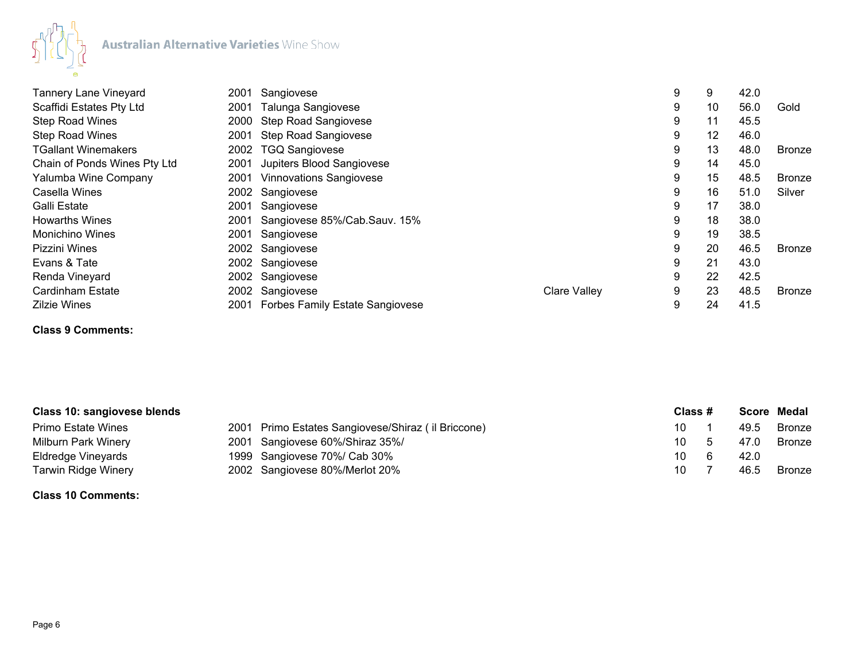

| <b>Tannery Lane Vineyard</b> | 2001 | Sangiovese                           |                     | 9 | 9  | 42.0 |               |
|------------------------------|------|--------------------------------------|---------------------|---|----|------|---------------|
| Scaffidi Estates Pty Ltd     | 2001 | Talunga Sangiovese                   |                     | 9 | 10 | 56.0 | Gold          |
| <b>Step Road Wines</b>       | 2000 | <b>Step Road Sangiovese</b>          |                     | 9 | 11 | 45.5 |               |
| <b>Step Road Wines</b>       | 2001 | <b>Step Road Sangiovese</b>          |                     | 9 | 12 | 46.0 |               |
| <b>TGallant Winemakers</b>   | 2002 | <b>TGQ Sangiovese</b>                |                     | 9 | 13 | 48.0 | <b>Bronze</b> |
| Chain of Ponds Wines Pty Ltd | 2001 | Jupiters Blood Sangiovese            |                     | 9 | 14 | 45.0 |               |
| Yalumba Wine Company         | 2001 | <b>Vinnovations Sangiovese</b>       |                     | 9 | 15 | 48.5 | <b>Bronze</b> |
| Casella Wines                |      | 2002 Sangiovese                      |                     | 9 | 16 | 51.0 | Silver        |
| Galli Estate                 | 2001 | Sangiovese                           |                     | 9 | 17 | 38.0 |               |
| <b>Howarths Wines</b>        | 2001 | Sangiovese 85%/Cab.Sauv. 15%         |                     | 9 | 18 | 38.0 |               |
| Monichino Wines              | 2001 | Sangiovese                           |                     | 9 | 19 | 38.5 |               |
| Pizzini Wines                |      | 2002 Sangiovese                      |                     | 9 | 20 | 46.5 | <b>Bronze</b> |
| Evans & Tate                 |      | 2002 Sangiovese                      |                     | 9 | 21 | 43.0 |               |
| Renda Vineyard               |      | 2002 Sangiovese                      |                     | 9 | 22 | 42.5 |               |
| Cardinham Estate             |      | 2002 Sangiovese                      | <b>Clare Valley</b> | 9 | 23 | 48.5 | <b>Bronze</b> |
| <b>Zilzie Wines</b>          |      | 2001 Forbes Family Estate Sangiovese |                     | 9 | 24 | 41.5 |               |

# **Class 9 Comments:**

| Class 10: sangiovese blends |                                                    | Class # |      | Score Medal   |
|-----------------------------|----------------------------------------------------|---------|------|---------------|
| Primo Estate Wines          | 2001 Primo Estates Sangiovese/Shiraz (il Briccone) | 10.     | 49.5 | <b>Bronze</b> |
| Milburn Park Winery         | 2001 Sangiovese 60%/Shiraz 35%/                    | 10.     | 47.0 | <b>Bronze</b> |
| Eldredge Vineyards          | 1999 Sangiovese 70%/ Cab 30%                       | 10      | 42.0 |               |
| Tarwin Ridge Winery         | 2002 Sangiovese 80%/Merlot 20%                     | 10      | 46.5 | <b>Bronze</b> |

#### **Class 10 Comments:**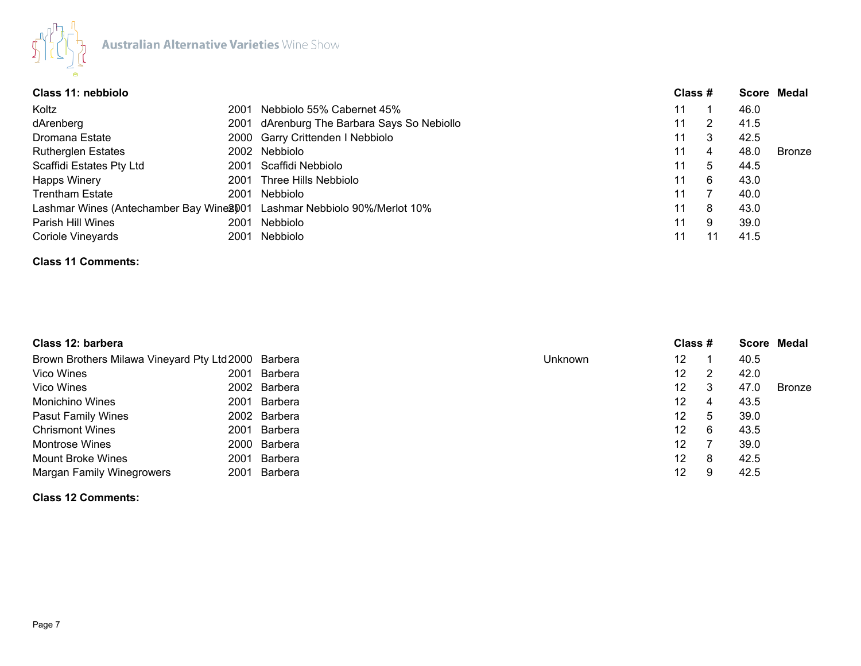

| Class 11: nebbiolo        |      |                                                                          |    | Class # |      |               |
|---------------------------|------|--------------------------------------------------------------------------|----|---------|------|---------------|
| Koltz                     | 2001 | Nebbiolo 55% Cabernet 45%                                                | 11 |         | 46.0 |               |
| dArenberg                 |      | 2001 dArenburg The Barbara Says So Nebiollo                              | 11 | 2       | 41.5 |               |
| Dromana Estate            |      | 2000 Garry Crittenden I Nebbiolo                                         | 11 | 3       | 42.5 |               |
| <b>Rutherglen Estates</b> |      | 2002 Nebbiolo                                                            | 11 | 4       | 48.0 | <b>Bronze</b> |
| Scaffidi Estates Pty Ltd  |      | 2001 Scaffidi Nebbiolo                                                   | 11 | 5       | 44.5 |               |
| <b>Happs Winery</b>       | 2001 | Three Hills Nebbiolo                                                     | 11 | 6       | 43.0 |               |
| <b>Trentham Estate</b>    | 2001 | Nebbiolo                                                                 | 11 |         | 40.0 |               |
|                           |      | Lashmar Wines (Antechamber Bay Wine 2001 Lashmar Nebbiolo 90%/Merlot 10% | 11 | 8       | 43.0 |               |
| Parish Hill Wines         | 2001 | Nebbiolo                                                                 | 11 | 9       | 39.0 |               |
| Coriole Vineyards         | 2001 | Nebbiolo                                                                 | 11 |         | 41.5 |               |

### **Class 11 Comments:**

| Class 12: barbera                                   |      |              |                | Class #         |   |      | Score Medal |
|-----------------------------------------------------|------|--------------|----------------|-----------------|---|------|-------------|
| Brown Brothers Milawa Vineyard Pty Ltd 2000 Barbera |      |              | <b>Unknown</b> | 12              |   | 40.5 |             |
| Vico Wines                                          | 2001 | Barbera      |                | 12.             |   | 42.0 |             |
| Vico Wines                                          |      | 2002 Barbera |                | 12 <sup>2</sup> | 3 | 47.0 | Bronze      |
| <b>Monichino Wines</b>                              | 2001 | Barbera      |                | 12              | 4 | 43.5 |             |
| <b>Pasut Family Wines</b>                           |      | 2002 Barbera |                | 12.             | 5 | 39.0 |             |
| <b>Chrismont Wines</b>                              | 2001 | Barbera      |                | 12 <sup>2</sup> | 6 | 43.5 |             |
| <b>Montrose Wines</b>                               |      | 2000 Barbera |                | 12              |   | 39.0 |             |
| <b>Mount Broke Wines</b>                            | 2001 | Barbera      |                | 12 <sup>°</sup> | 8 | 42.5 |             |
| <b>Margan Family Winegrowers</b>                    | 2001 | Barbera      |                | 12              | 9 | 42.5 |             |

**Class 12 Comments:**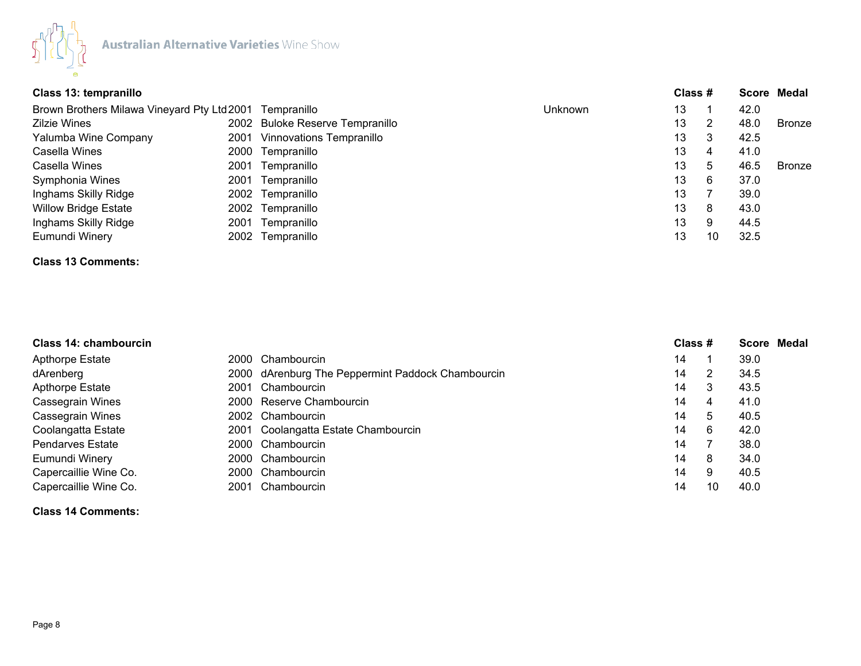

| Class 13: tempranillo                                   |      |                                 |         | Class # |              |      | Score Medal   |
|---------------------------------------------------------|------|---------------------------------|---------|---------|--------------|------|---------------|
| Brown Brothers Milawa Vineyard Pty Ltd 2001 Tempranillo |      |                                 | Unknown | 13      |              | 42.0 |               |
| <b>Zilzie Wines</b>                                     |      | 2002 Buloke Reserve Tempranillo |         | 13      |              | 48.0 | <b>Bronze</b> |
| Yalumba Wine Company                                    | 2001 | <b>Vinnovations Tempranillo</b> |         | 13      | 3            | 42.5 |               |
| Casella Wines                                           |      | 2000 Tempranillo                |         | 13      | 4            | 41.0 |               |
| Casella Wines                                           | 2001 | Tempranillo                     |         | 13      | <sub>5</sub> | 46.5 | <b>Bronze</b> |
| Symphonia Wines                                         |      | 2001 Tempranillo                |         | 13      | 6            | 37.0 |               |
| Inghams Skilly Ridge                                    |      | 2002 Tempranillo                |         | 13      |              | 39.0 |               |
| <b>Willow Bridge Estate</b>                             |      | 2002 Tempranillo                |         | 13      | 8            | 43.0 |               |
| Inghams Skilly Ridge                                    |      | 2001 Tempranillo                |         | 13      | 9            | 44.5 |               |
| Eumundi Winery                                          |      | 2002 Tempranillo                |         | 13      | 10           | 32.5 |               |

#### **Class 13 Comments:**

| Class 14: chambourcin   |      |                                                   | Class # |    | Score Medal |  |
|-------------------------|------|---------------------------------------------------|---------|----|-------------|--|
| <b>Apthorpe Estate</b>  | 2000 | Chambourcin                                       | 14      |    | 39.0        |  |
| dArenberg               |      | 2000 dArenburg The Peppermint Paddock Chambourcin | 14      |    | 34.5        |  |
| Apthorpe Estate         | 2001 | Chambourcin                                       | 14      |    | 43.5        |  |
| <b>Cassegrain Wines</b> |      | 2000 Reserve Chambourcin                          | 14      |    | 41.0        |  |
| <b>Cassegrain Wines</b> |      | 2002 Chambourcin                                  | 14      | 5  | 40.5        |  |
| Coolangatta Estate      |      | 2001 Coolangatta Estate Chambourcin               | 14      | 6  | 42.0        |  |
| <b>Pendarves Estate</b> |      | 2000 Chambourcin                                  | 14      |    | 38.0        |  |
| Eumundi Winery          |      | 2000 Chambourcin                                  | 14      | 8  | 34.0        |  |
| Capercaillie Wine Co.   |      | 2000 Chambourcin                                  | 14      | 9  | 40.5        |  |
| Capercaillie Wine Co.   | 2001 | Chambourcin                                       | 14      | 10 | 40.0        |  |

## **Class 14 Comments:**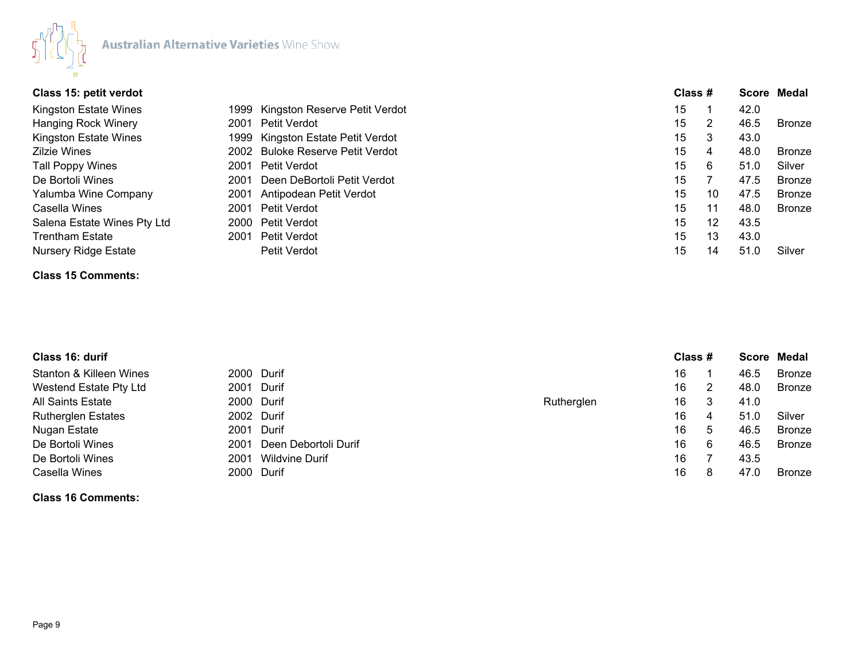

| Class 15: petit verdot      |      |                                    | Class # |    |      | Score Medal   |
|-----------------------------|------|------------------------------------|---------|----|------|---------------|
| Kingston Estate Wines       |      | 1999 Kingston Reserve Petit Verdot | 15      |    | 42.0 |               |
| <b>Hanging Rock Winery</b>  | 2001 | Petit Verdot                       | 15      |    | 46.5 | <b>Bronze</b> |
| Kingston Estate Wines       |      | 1999 Kingston Estate Petit Verdot  | 15      | 3  | 43.0 |               |
| <b>Zilzie Wines</b>         |      | 2002 Buloke Reserve Petit Verdot   | 15      | 4  | 48.0 | <b>Bronze</b> |
| Tall Poppy Wines            | 2001 | Petit Verdot                       | 15      | 6  | 51.0 | Silver        |
| De Bortoli Wines            | 2001 | Deen DeBortoli Petit Verdot        | 15      |    | 47.5 | <b>Bronze</b> |
| Yalumba Wine Company        | 2001 | Antipodean Petit Verdot            | 15      | 10 | 47.5 | <b>Bronze</b> |
| Casella Wines               |      | 2001 Petit Verdot                  | 15      | 11 | 48.0 | <b>Bronze</b> |
| Salena Estate Wines Pty Ltd |      | 2000 Petit Verdot                  | 15      | 12 | 43.5 |               |
| <b>Trentham Estate</b>      |      | 2001 Petit Verdot                  | 15      | 13 | 43.0 |               |
| <b>Nursery Ridge Estate</b> |      | Petit Verdot                       | 15      | 14 | 51.0 | Silver        |

# **Class 15 Comments:**

| Class 16: durif                |                       |            | Class # |   |      | Score Medal   |
|--------------------------------|-----------------------|------------|---------|---|------|---------------|
| Stanton & Killeen Wines        | 2000 Durif            |            | 16      |   | 46.5 | <b>Bronze</b> |
| Westend Estate Pty Ltd<br>2001 | Durif                 |            | 16      | 2 | 48.0 | Bronze        |
| <b>All Saints Estate</b>       | 2000 Durif            | Rutherglen | 16      | 3 | 41.0 |               |
| <b>Rutherglen Estates</b>      | 2002 Durif            |            | 16      | 4 | 51.0 | Silver        |
| Nugan Estate<br>2001           | Durif                 |            | 16      | 5 | 46.5 | Bronze        |
| De Bortoli Wines<br>2001       | Deen Debortoli Durif  |            | 16      | 6 | 46.5 | Bronze        |
| De Bortoli Wines<br>2001       | <b>Wildvine Durif</b> |            | 16      |   | 43.5 |               |
| Casella Wines<br>2000          | Durif                 |            | 16      | 8 | 47.0 | <b>Bronze</b> |

**Class 16 Comments:**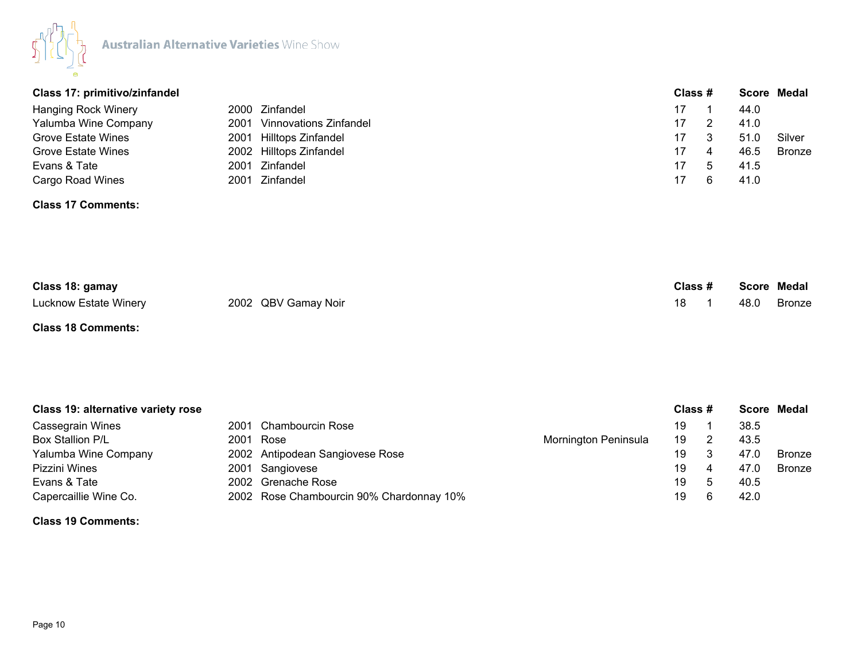

| Class 17: primitivo/zinfandel |                             |    | Class # |      | Score Medal   |
|-------------------------------|-----------------------------|----|---------|------|---------------|
| Hanging Rock Winery           | 2000 Zinfandel              | 17 |         | 44.0 |               |
| Yalumba Wine Company          | 2001 Vinnovations Zinfandel | 17 |         | 41.0 |               |
| Grove Estate Wines            | 2001 Hilltops Zinfandel     | 17 |         | 51.0 | Silver        |
| Grove Estate Wines            | 2002 Hilltops Zinfandel     | 17 | 4       | 46.5 | <b>Bronze</b> |
| Evans & Tate<br>2001          | Zinfandel                   | 17 |         | 41.5 |               |
| Cargo Road Wines              | 2001 Zinfandel              | 17 |         | 41.0 |               |

#### **Class 17 Comments:**

| Class 18: gamay       |                     | Class # |  |      | Score Medal |
|-----------------------|---------------------|---------|--|------|-------------|
| Lucknow Estate Winery | 2002 QBV Gamay Noir |         |  | 48.0 | Bronze      |

## **Class 18 Comments:**

| <b>Class 19: alternative variety rose</b> |  | Class #                                  |                      |    | <b>Score Medal</b> |      |               |
|-------------------------------------------|--|------------------------------------------|----------------------|----|--------------------|------|---------------|
| Cassegrain Wines                          |  | 2001 Chambourcin Rose                    |                      | 19 |                    | 38.5 |               |
| Box Stallion P/L                          |  | 2001 Rose                                | Mornington Peninsula | 19 |                    | 43.5 |               |
| Yalumba Wine Company                      |  | 2002 Antipodean Sangiovese Rose          |                      | 19 |                    | 47.0 | <b>Bronze</b> |
| Pizzini Wines                             |  | 2001 Sangiovese                          |                      | 19 | 4                  | 47.0 | Bronze        |
| Evans & Tate                              |  | 2002 Grenache Rose                       |                      | 19 |                    | 40.5 |               |
| Capercaillie Wine Co.                     |  | 2002 Rose Chambourcin 90% Chardonnay 10% |                      | 19 |                    | 42.0 |               |

#### **Class 19 Comments:**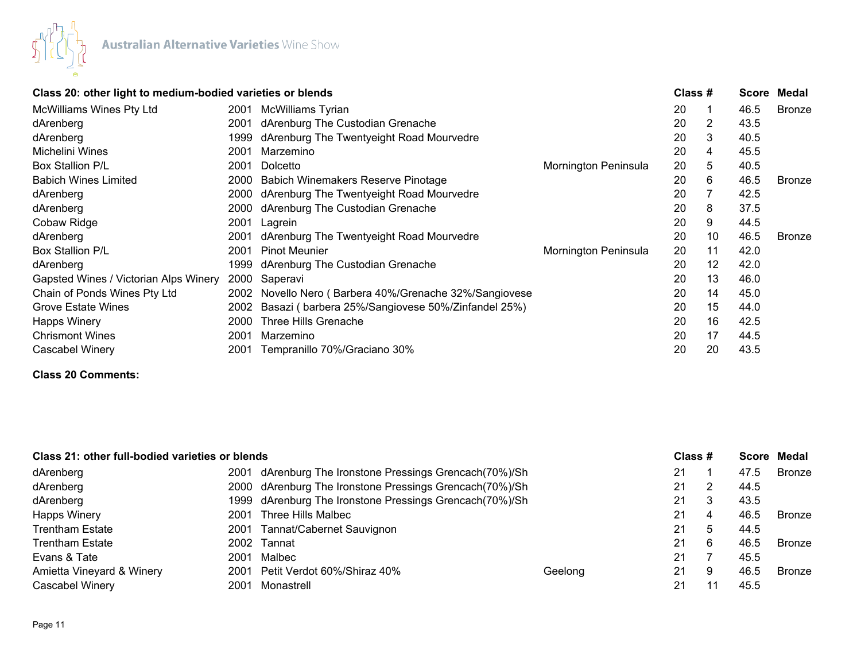

| Class 20: other light to medium-bodied varieties or blends |      |                                                   |                      | Class $#$ |    | Score | Medal         |
|------------------------------------------------------------|------|---------------------------------------------------|----------------------|-----------|----|-------|---------------|
| <b>McWilliams Wines Pty Ltd</b>                            | 2001 | McWilliams Tyrian                                 |                      | 20        |    | 46.5  | <b>Bronze</b> |
| dArenberg                                                  | 2001 | dArenburg The Custodian Grenache                  |                      | 20        | 2  | 43.5  |               |
| dArenberg                                                  | 1999 | dArenburg The Twentyeight Road Mourvedre          |                      | 20        | 3  | 40.5  |               |
| Michelini Wines                                            | 2001 | Marzemino                                         |                      | 20        | 4  | 45.5  |               |
| Box Stallion P/L                                           | 2001 | Dolcetto                                          | Mornington Peninsula | 20        | 5  | 40.5  |               |
| <b>Babich Wines Limited</b>                                | 2000 | <b>Babich Winemakers Reserve Pinotage</b>         |                      | 20        | 6  | 46.5  | <b>Bronze</b> |
| dArenberg                                                  | 2000 | dArenburg The Twentyeight Road Mourvedre          |                      | 20        |    | 42.5  |               |
| dArenberg                                                  | 2000 | dArenburg The Custodian Grenache                  |                      | 20        | 8  | 37.5  |               |
| Cobaw Ridge                                                | 2001 | Lagrein                                           |                      | 20        | 9  | 44.5  |               |
| dArenberg                                                  | 2001 | dArenburg The Twentyeight Road Mourvedre          |                      | 20        | 10 | 46.5  | <b>Bronze</b> |
| Box Stallion P/L                                           | 2001 | <b>Pinot Meunier</b>                              | Mornington Peninsula | 20        | 11 | 42.0  |               |
| dArenberg                                                  | 1999 | dArenburg The Custodian Grenache                  |                      | 20        | 12 | 42.0  |               |
| Gapsted Wines / Victorian Alps Winery                      | 2000 | Saperavi                                          |                      | 20        | 13 | 46.0  |               |
| Chain of Ponds Wines Pty Ltd                               | 2002 | Novello Nero (Barbera 40%/Grenache 32%/Sangiovese |                      | 20        | 14 | 45.0  |               |
| <b>Grove Estate Wines</b>                                  | 2002 | Basazi (barbera 25%/Sangiovese 50%/Zinfandel 25%) |                      | 20        | 15 | 44.0  |               |
| <b>Happs Winery</b>                                        | 2000 | Three Hills Grenache                              |                      | 20        | 16 | 42.5  |               |
| <b>Chrismont Wines</b>                                     | 2001 | Marzemino                                         |                      | 20        | 17 | 44.5  |               |
| Cascabel Winery                                            | 2001 | Tempranillo 70%/Graciano 30%                      |                      | 20        | 20 | 43.5  |               |

# **Class 20 Comments:**

| Class 21: other full-bodied varieties or blends |      |                                                         |         | Class # |   |      | Score Medal   |
|-------------------------------------------------|------|---------------------------------------------------------|---------|---------|---|------|---------------|
| dArenberg                                       |      | 2001 dArenburg The Ironstone Pressings Grencach(70%)/Sh |         | 21      |   | 47.5 | <b>Bronze</b> |
| dArenberg                                       |      | 2000 dArenburg The Ironstone Pressings Grencach(70%)/Sh |         | 21      | 2 | 44.5 |               |
| dArenberg                                       |      | 1999 dArenburg The Ironstone Pressings Grencach(70%)/Sh |         | 21      | 3 | 43.5 |               |
| <b>Happs Winery</b>                             | 2001 | Three Hills Malbec                                      |         | 21      | 4 | 46.5 | Bronze        |
| Trentham Estate                                 |      | 2001 Tannat/Cabernet Sauvignon                          |         | 21      | 5 | 44.5 |               |
| <b>Trentham Estate</b>                          |      | 2002 Tannat                                             |         | 21      | 6 | 46.5 | <b>Bronze</b> |
| Evans & Tate                                    | 2001 | Malbec                                                  |         | 21      |   | 45.5 |               |
| Amietta Vineyard & Winery                       |      | 2001 Petit Verdot 60%/Shiraz 40%                        | Geelong | 21      | 9 | 46.5 | <b>Bronze</b> |
| <b>Cascabel Winery</b>                          | 2001 | Monastrell                                              |         | 21      |   | 45.5 |               |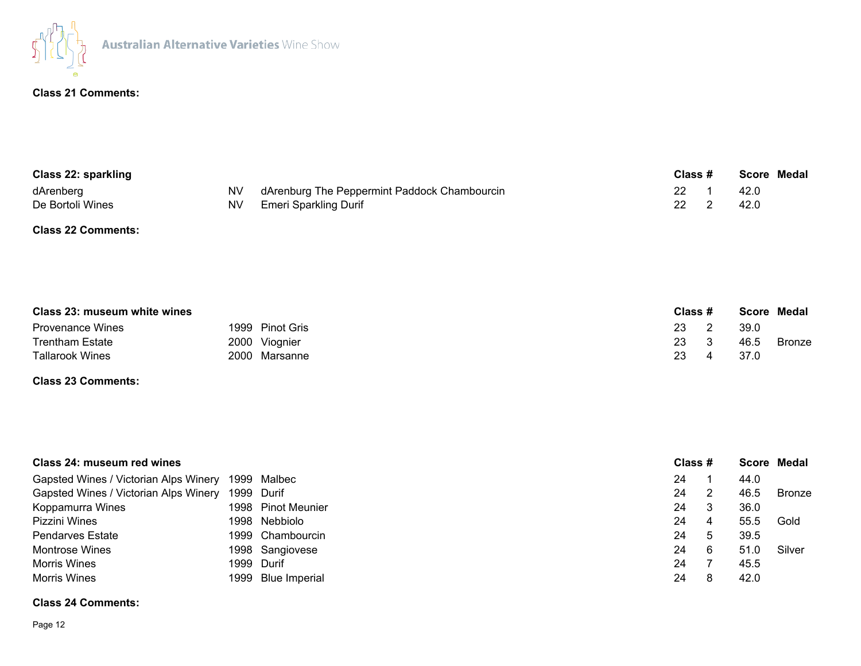

## **Class 21 Comments:**

| <b>Class 22: sparkling</b> |  | Class #                                         |      | Score Medal |      |  |
|----------------------------|--|-------------------------------------------------|------|-------------|------|--|
| dArenberg                  |  | NV dArenburg The Peppermint Paddock Chambourcin |      |             | 42.0 |  |
| De Bortoli Wines           |  | NV Emeri Sparkling Durif                        | 22 2 |             | 42.0 |  |

#### **Class 22 Comments:**

| Class 23: museum white wines |                 | Class $#$ |      | Score Medal |
|------------------------------|-----------------|-----------|------|-------------|
| <b>Provenance Wines</b>      | 1999 Pinot Gris | 23        | 39.0 |             |
| <b>Trentham Estate</b>       | 2000 Viognier   | 23        | 46.5 | Bronze      |
| <b>Tallarook Wines</b>       | 2000 Marsanne   | 23        | 37.0 |             |

### **Class 23 Comments:**

| Class 24: museum red wines                        |                    | Class # |    |      | Score Medal |
|---------------------------------------------------|--------------------|---------|----|------|-------------|
| Gapsted Wines / Victorian Alps Winery 1999 Malbec |                    | 24      |    | 44.0 |             |
| Gapsted Wines / Victorian Alps Winery 1999 Durif  |                    | 24      |    | 46.5 | Bronze      |
| Koppamurra Wines                                  | 1998 Pinot Meunier | 24      |    | 36.0 |             |
| Pizzini Wines                                     | 1998 Nebbiolo      | 24      | 4  | 55.5 | Gold        |
| <b>Pendarves Estate</b>                           | 1999 Chambourcin   | 24      | 'b | 39.5 |             |
| <b>Montrose Wines</b>                             | 1998 Sangiovese    | 24      | 6  | 51.0 | Silver      |
| <b>Morris Wines</b>                               | 1999 Durif         | 24      |    | 45.5 |             |
| <b>Morris Wines</b>                               | 1999 Blue Imperial | 24      |    | 42.0 |             |

### **Class 24 Comments:**